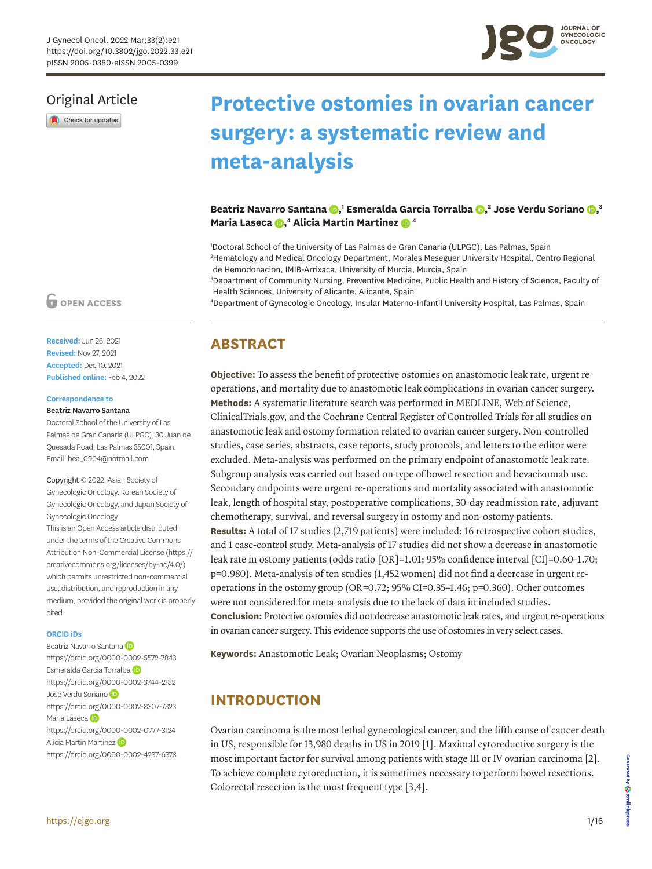# Original Article

Check for updates

# **Protective ostomies in ovarian cancer surgery: a systematic review and meta-analysis**

**Beatriz Navarro Santana, 1 Esmeralda Garcia Torralba [,](https://orcid.org/0000-0002-3744-2182) 2 Jose Verdu Soriano [,](https://orcid.org/0000-0002-8307-7323) 3 Maria Laseca, 4 Alicia Martin Martinez4**

1 Doctoral School of the University of Las Palmas de Gran Canaria (ULPGC), Las Palmas, Spain 2 Hematology and Medical Oncology Department, Morales Meseguer University Hospital, Centro Regional de Hemodonacion, IMIB-Arrixaca, University of Murcia, Murcia, Spain

3 Department of Community Nursing, Preventive Medicine, Public Health and History of Science, Faculty of Health Sciences, University of Alicante, Alicante, Spain

4 Department of Gynecologic Oncology, Insular Materno-Infantil University Hospital, Las Palmas, Spain

# **ABSTRACT**

**Objective:** To assess the benefit of protective ostomies on anastomotic leak rate, urgent reoperations, and mortality due to anastomotic leak complications in ovarian cancer surgery. **Methods:** A systematic literature search was performed in MEDLINE, Web of Science, ClinicalTrials.gov, and the Cochrane Central Register of Controlled Trials for all studies on anastomotic leak and ostomy formation related to ovarian cancer surgery. Non-controlled studies, case series, abstracts, case reports, study protocols, and letters to the editor were excluded. Meta-analysis was performed on the primary endpoint of anastomotic leak rate. Subgroup analysis was carried out based on type of bowel resection and bevacizumab use. Secondary endpoints were urgent re-operations and mortality associated with anastomotic leak, length of hospital stay, postoperative complications, 30-day readmission rate, adjuvant chemotherapy, survival, and reversal surgery in ostomy and non-ostomy patients. **Results:** A total of 17 studies (2,719 patients) were included: 16 retrospective cohort studies, and 1 case-control study. Meta-analysis of 17 studies did not show a decrease in anastomotic leak rate in ostomy patients (odds ratio [OR]=1.01; 95% confidence interval [CI]=0.60–1.70; p=0.980). Meta-analysis of ten studies (1,452 women) did not find a decrease in urgent reoperations in the ostomy group (OR=0.72; 95% CI=0.35–1.46; p=0.360). Other outcomes were not considered for meta-analysis due to the lack of data in included studies. **Conclusion:** Protective ostomies did not decrease anastomotic leak rates, and urgent re-operations in ovarian cancer surgery. This evidence supports the use of ostomies in very select cases.

**Keywords:** Anastomotic Leak; Ovarian Neoplasms; Ostomy

# **INTRODUCTION**

<span id="page-0-2"></span><span id="page-0-1"></span><span id="page-0-0"></span>Ovarian carcinoma is the most lethal gynecological cancer, and the fifth cause of cancer death in US, responsible for 13,980 deaths in US in 2019 [[1\]](#page-13-0). Maximal cytoreductive surgery is the most important factor for survival among patients with stage III or IV ovarian carcinoma [[2](#page-13-1)]. To achieve complete cytoreduction, it is sometimes necessary to perform bowel resections. Colorectal resection is the most frequent type [[3](#page-13-2)[,4](#page-13-3)].

# **D** OPEN ACCESS

**Received:** Jun 26, 2021 **Revised:** Nov 27, 2021 **Accepted:** Dec 10, 2021 **Published online:** Feb 4, 2022

### **Correspondence to**

#### Beatriz Navarro Santana

Doctoral School of the University of Las Palmas de Gran Canaria (ULPGC), 30 Juan de Quesada Road, Las Palmas 35001, Spain. Email: bea\_0904@hotmail.com

Copyright © 2022. Asian Society of Gynecologic Oncology, Korean Society of Gynecologic Oncology, and Japan Society of Gynecologic Oncology This is an Open Access article distributed under the terms of the Creative Commons Attribution Non-Commercial License [\(https://](https://creativecommons.org/licenses/by-nc/4.0/) [creativecommons.org/licenses/by-nc/4.0/](https://creativecommons.org/licenses/by-nc/4.0/)) which permits unrestricted non-commercial use, distribution, and reproduction in any medium, provided the original work is properly cited.

### **ORCID iDs**

BeatrizNavarro Santana<sup>D</sup> <https://orcid.org/0000-0002-5572-7843> Esmeralda Garcia Torralba <https://orcid.org/0000-0002-3744-2182> JoseVerdu Soriano <https://orcid.org/0000-0002-8307-7323> MariaLaseca<sup>D</sup> <https://orcid.org/0000-0002-0777-3124> AliciaMartin Martinez <https://orcid.org/0000-0002-4237-6378>

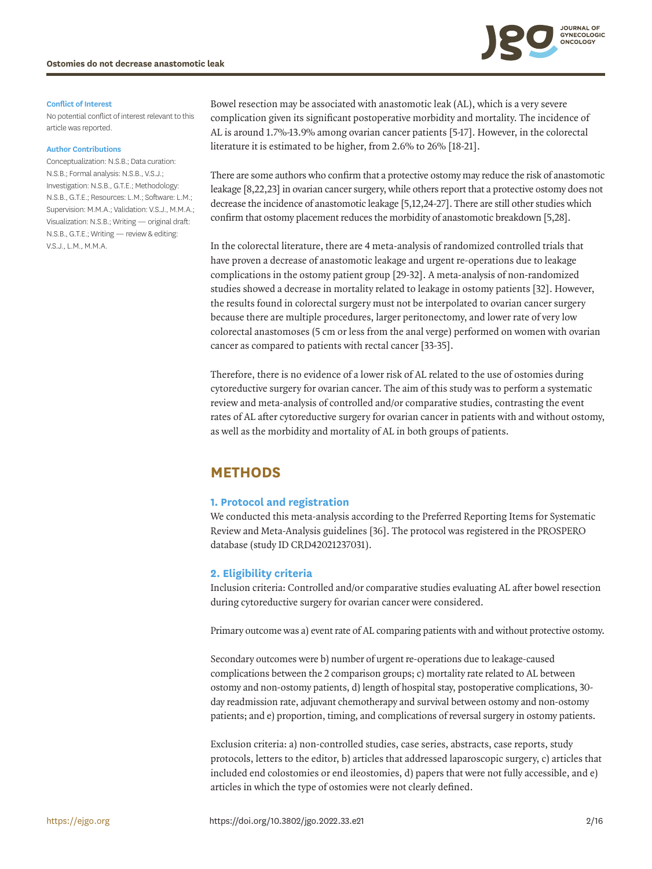

#### **Conflict of Interest**

No potential conflict of interest relevant to this article was reported.

#### **Author Contributions**

Conceptualization: N.S.B.; Data curation: N.S.B.; Formal analysis: N.S.B., V.S.J.; Investigation: N.S.B., G.T.E.; Methodology: N.S.B., G.T.E.; Resources: L.M.; Software: L.M.; Supervision: M.M.A.; Validation: V.S.J., M.M.A.; Visualization: N.S.B.; Writing — original draft: N.S.B., G.T.E.; Writing — review & editing: V.S.J., L.M., M.M.A.

<span id="page-1-0"></span>Bowel resection may be associated with anastomotic leak (AL), which is a very severe complication given its significant postoperative morbidity and mortality. The incidence of AL is around 1.7%-13.9% among ovarian cancer patients [[5](#page-13-4)[-17](#page-14-0)]. However, in the colorectal literature it is estimated to be higher, from 2.6% to 26% [[18](#page-14-1)[-21\]](#page-14-2).

<span id="page-1-1"></span>There are some authors who confirm that a protective ostomy may reduce the risk of anastomotic leakage [\[8,](#page-13-5)[22](#page-14-3)[,23\]](#page-14-4) in ovarian cancer surgery, while others report that a protective ostomy does not decrease the incidence of anastomotic leakage [\[5,](#page-13-4)[12](#page-13-6)[,24](#page-14-5)[-27](#page-14-6)]. There are still other studies which confirm that ostomy placement reduces the morbidity of anastomotic breakdown [[5](#page-13-4),[28\]](#page-14-7).

<span id="page-1-3"></span><span id="page-1-2"></span>In the colorectal literature, there are 4 meta-analysis of randomized controlled trials that have proven a decrease of anastomotic leakage and urgent re-operations due to leakage complications in the ostomy patient group [[29](#page-14-8)[-32](#page-14-9)]. A meta-analysis of non-randomized studies showed a decrease in mortality related to leakage in ostomy patients [[32\]](#page-14-9). However, the results found in colorectal surgery must not be interpolated to ovarian cancer surgery because there are multiple procedures, larger peritonectomy, and lower rate of very low colorectal anastomoses (5 cm or less from the anal verge) performed on women with ovarian cancer as compared to patients with rectal cancer [[33](#page-14-10)[-35](#page-15-0)].

<span id="page-1-4"></span>Therefore, there is no evidence of a lower risk of AL related to the use of ostomies during cytoreductive surgery for ovarian cancer. The aim of this study was to perform a systematic review and meta-analysis of controlled and/or comparative studies, contrasting the event rates of AL after cytoreductive surgery for ovarian cancer in patients with and without ostomy, as well as the morbidity and mortality of AL in both groups of patients.

# **METHODS**

### **1. Protocol and registration**

<span id="page-1-5"></span>We conducted this meta-analysis according to the Preferred Reporting Items for Systematic Review and Meta-Analysis guidelines [[36\]](#page-15-1). The protocol was registered in the PROSPERO database (study ID CRD42021237031).

### **2. Eligibility criteria**

Inclusion criteria: Controlled and/or comparative studies evaluating AL after bowel resection during cytoreductive surgery for ovarian cancer were considered.

Primary outcome was a) event rate of AL comparing patients with and without protective ostomy.

Secondary outcomes were b) number of urgent re-operations due to leakage-caused complications between the 2 comparison groups; c) mortality rate related to AL between ostomy and non-ostomy patients, d) length of hospital stay, postoperative complications, 30 day readmission rate, adjuvant chemotherapy and survival between ostomy and non-ostomy patients; and e) proportion, timing, and complications of reversal surgery in ostomy patients.

Exclusion criteria: a) non-controlled studies, case series, abstracts, case reports, study protocols, letters to the editor, b) articles that addressed laparoscopic surgery, c) articles that included end colostomies or end ileostomies, d) papers that were not fully accessible, and e) articles in which the type of ostomies were not clearly defined.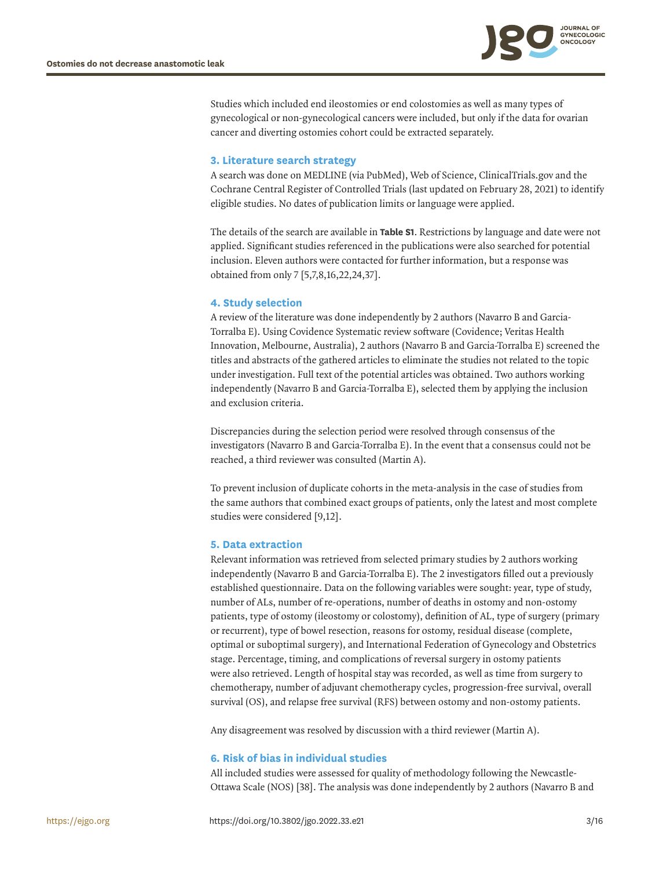

Studies which included end ileostomies or end colostomies as well as many types of gynecological or non-gynecological cancers were included, but only if the data for ovarian cancer and diverting ostomies cohort could be extracted separately.

### **3. Literature search strategy**

A search was done on MEDLINE (via PubMed), Web of Science, ClinicalTrials.gov and the Cochrane Central Register of Controlled Trials (last updated on February 28, 2021) to identify eligible studies. No dates of publication limits or language were applied.

The details of the search are available in **[Table S1](#page-12-0)**. Restrictions by language and date were not applied. Significant studies referenced in the publications were also searched for potential inclusion. Eleven authors were contacted for further information, but a response was obtained from only 7 [\[5](#page-13-4)[,7](#page-13-7)[,8,](#page-13-5)[16,](#page-13-8)[22,](#page-14-3)[24,](#page-14-5)[37\]](#page-15-2).

### <span id="page-2-1"></span>**4. Study selection**

A review of the literature was done independently by 2 authors (Navarro B and Garcia-Torralba E). Using Covidence Systematic review software (Covidence; Veritas Health Innovation, Melbourne, Australia), 2 authors (Navarro B and Garcia-Torralba E) screened the titles and abstracts of the gathered articles to eliminate the studies not related to the topic under investigation. Full text of the potential articles was obtained. Two authors working independently (Navarro B and Garcia-Torralba E), selected them by applying the inclusion and exclusion criteria.

Discrepancies during the selection period were resolved through consensus of the investigators (Navarro B and Garcia-Torralba E). In the event that a consensus could not be reached, a third reviewer was consulted (Martin A).

<span id="page-2-0"></span>To prevent inclusion of duplicate cohorts in the meta-analysis in the case of studies from the same authors that combined exact groups of patients, only the latest and most complete studies were considered [\[9,](#page-13-9)[12](#page-13-6)].

### **5. Data extraction**

Relevant information was retrieved from selected primary studies by 2 authors working independently (Navarro B and Garcia-Torralba E). The 2 investigators filled out a previously established questionnaire. Data on the following variables were sought: year, type of study, number of ALs, number of re-operations, number of deaths in ostomy and non-ostomy patients, type of ostomy (ileostomy or colostomy), definition of AL, type of surgery (primary or recurrent), type of bowel resection, reasons for ostomy, residual disease (complete, optimal or suboptimal surgery), and International Federation of Gynecology and Obstetrics stage. Percentage, timing, and complications of reversal surgery in ostomy patients were also retrieved. Length of hospital stay was recorded, as well as time from surgery to chemotherapy, number of adjuvant chemotherapy cycles, progression-free survival, overall survival (OS), and relapse free survival (RFS) between ostomy and non-ostomy patients.

Any disagreement was resolved by discussion with a third reviewer (Martin A).

### **6. Risk of bias in individual studies**

<span id="page-2-2"></span>All included studies were assessed for quality of methodology following the Newcastle-Ottawa Scale (NOS) [[38\]](#page-15-3). The analysis was done independently by 2 authors (Navarro B and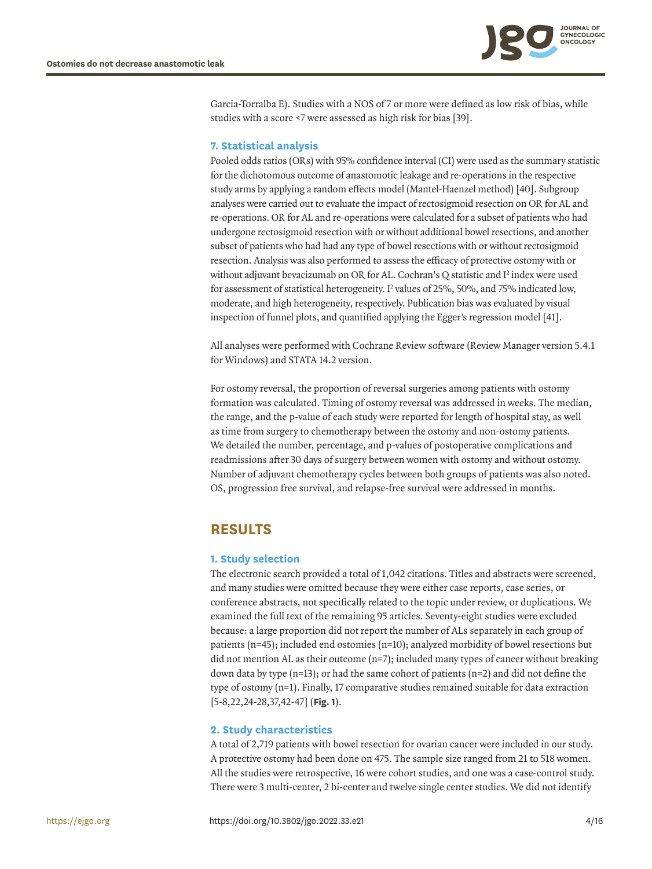

<span id="page-3-0"></span>Garcia-Torralba E). Studies with a NOS of 7 or more were defined as low risk of bias, while studies with a score <7 were assessed as high risk for bias [[39\]](#page-15-4).

### **7. Statistical analysis**

<span id="page-3-1"></span>Pooled odds ratios (ORs) with 95% confidence interval (CI) were used as the summary statistic for the dichotomous outcome of anastomotic leakage and re-operations in the respective study arms by applying a random effects model (Mantel-Haenzel method) [[40\]](#page-15-5). Subgroup analyses were carried out to evaluate the impact of rectosigmoid resection on OR for AL and re-operations. OR for AL and re-operations were calculated for a subset of patients who had undergone rectosigmoid resection with or without additional bowel resections, and another subset of patients who had had any type of bowel resections with or without rectosigmoid resection. Analysis was also performed to assess the efficacy of protective ostomy with or without adjuvant bevacizumab on OR for AL. Cochran's Q statistic and  $I^2$  index were used for assessment of statistical heterogeneity. I<sup>2</sup> values of 25%, 50%, and 75% indicated low, moderate, and high heterogeneity, respectively. Publication bias was evaluated by visual inspection of funnel plots, and quantified applying the Egger's regression model [\[41\]](#page-15-6).

<span id="page-3-2"></span>All analyses were performed with Cochrane Review software (Review Manager version 5.4.1 for Windows) and STATA 14.2 version.

For ostomy reversal, the proportion of reversal surgeries among patients with ostomy formation was calculated. Timing of ostomy reversal was addressed in weeks. The median, the range, and the p-value of each study were reported for length of hospital stay, as well as time from surgery to chemotherapy between the ostomy and non-ostomy patients. We detailed the number, percentage, and p-values of postoperative complications and readmissions after 30 days of surgery between women with ostomy and without ostomy. Number of adjuvant chemotherapy cycles between both groups of patients was also noted. OS, progression free survival, and relapse-free survival were addressed in months.

### **RESULTS**

### **1. Study selection**

The electronic search provided a total of 1,042 citations. Titles and abstracts were screened, and many studies were omitted because they were either case reports, case series, or conference abstracts, not specifically related to the topic under review, or duplications. We examined the full text of the remaining 95 articles. Seventy-eight studies were excluded because: a large proportion did not report the number of ALs separately in each group of patients (n=45); included end ostomies (n=10); analyzed morbidity of bowel resections but did not mention AL as their outcome (n=7); included many types of cancer without breaking down data by type (n=13); or had the same cohort of patients (n=2) and did not define the type of ostomy (n=1). Finally, 17 comparative studies remained suitable for data extraction [[5](#page-13-4)[-8,](#page-13-5)[22,](#page-14-3)[24-](#page-14-5)[28,](#page-14-7)[37,](#page-15-2)[42](#page-15-7)[-47](#page-15-8)] (**[Fig. 1](#page-4-0)**).

### **2. Study characteristics**

A total of 2,719 patients with bowel resection for ovarian cancer were included in our study. A protective ostomy had been done on 475. The sample size ranged from 21 to 518 women. All the studies were retrospective, 16 were cohort studies, and one was a case-control study. There were 3 multi-center, 2 bi-center and twelve single center studies. We did not identify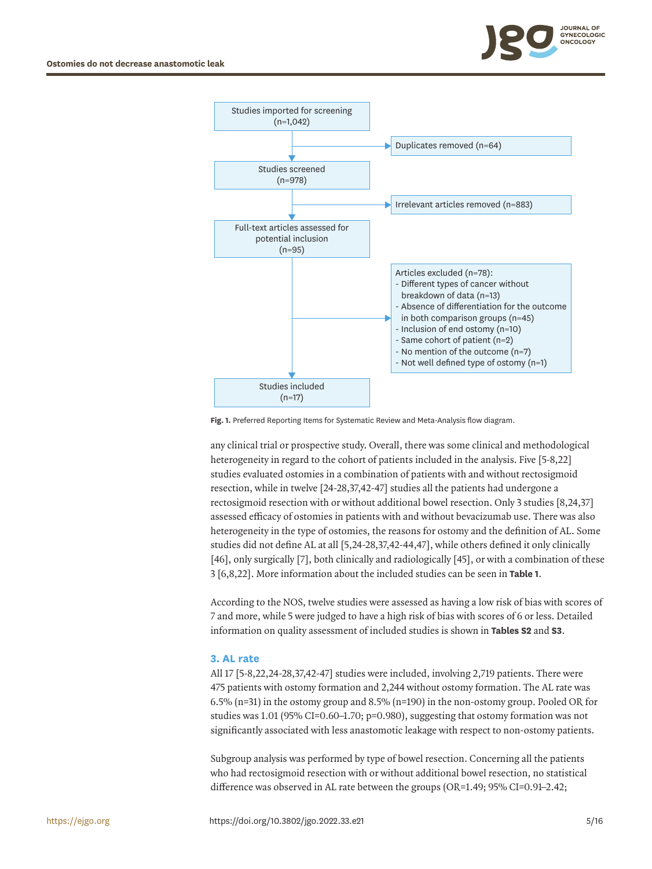



<span id="page-4-0"></span>Fig. 1. Preferred Reporting Items for Systematic Review and Meta-Analysis flow diagram.

any clinical trial or prospective study. Overall, there was some clinical and methodological heterogeneity in regard to the cohort of patients included in the analysis. Five [\[5-](#page-13-4)[8](#page-13-5),[22](#page-14-3)] studies evaluated ostomies in a combination of patients with and without rectosigmoid resection, while in twelve [[24](#page-14-5)[-28,](#page-14-7)[37](#page-15-2),[42](#page-15-7)[-47](#page-15-8)] studies all the patients had undergone a rectosigmoid resection with or without additional bowel resection. Only 3 studies [[8](#page-13-5),[24](#page-14-5),[37](#page-15-2)] assessed efficacy of ostomies in patients with and without bevacizumab use. There was also heterogeneity in the type of ostomies, the reasons for ostomy and the definition of AL. Some studies did not define AL at all [[5,](#page-13-4)[24](#page-14-5)[-28,](#page-14-7)[37](#page-15-2),[42](#page-15-7)[-44](#page-15-9),[47\]](#page-15-8), while others defined it only clinically [[46](#page-15-10)], only surgically [\[7\]](#page-13-7), both clinically and radiologically [[45\]](#page-15-11), or with a combination of these 3 [\[6,](#page-13-10)[8](#page-13-5),[22](#page-14-3)]. More information about the included studies can be seen in **[Table 1](#page-5-0)**.

<span id="page-4-2"></span><span id="page-4-1"></span>According to the NOS, twelve studies were assessed as having a low risk of bias with scores of 7 and more, while 5 were judged to have a high risk of bias with scores of 6 or less. Detailed information on quality assessment of included studies is shown in **[Tables S2](#page-12-1)** and **[S3](#page-12-2)**.

### **3. AL rate**

All 17 [[5](#page-13-4)[-8,](#page-13-5)[22](#page-14-3)[,24-](#page-14-5)[28,](#page-14-7)[37,](#page-15-2)[42-](#page-15-7)[47](#page-15-8)] studies were included, involving 2,719 patients. There were 475 patients with ostomy formation and 2,244 without ostomy formation. The AL rate was 6.5% (n=31) in the ostomy group and 8.5% (n=190) in the non-ostomy group. Pooled OR for studies was  $1.01$  (95% CI=0.60–1.70; p=0.980), suggesting that ostomy formation was not significantly associated with less anastomotic leakage with respect to non-ostomy patients.

Subgroup analysis was performed by type of bowel resection. Concerning all the patients who had rectosigmoid resection with or without additional bowel resection, no statistical difference was observed in AL rate between the groups (OR=1.49; 95% CI=0.91–2.42;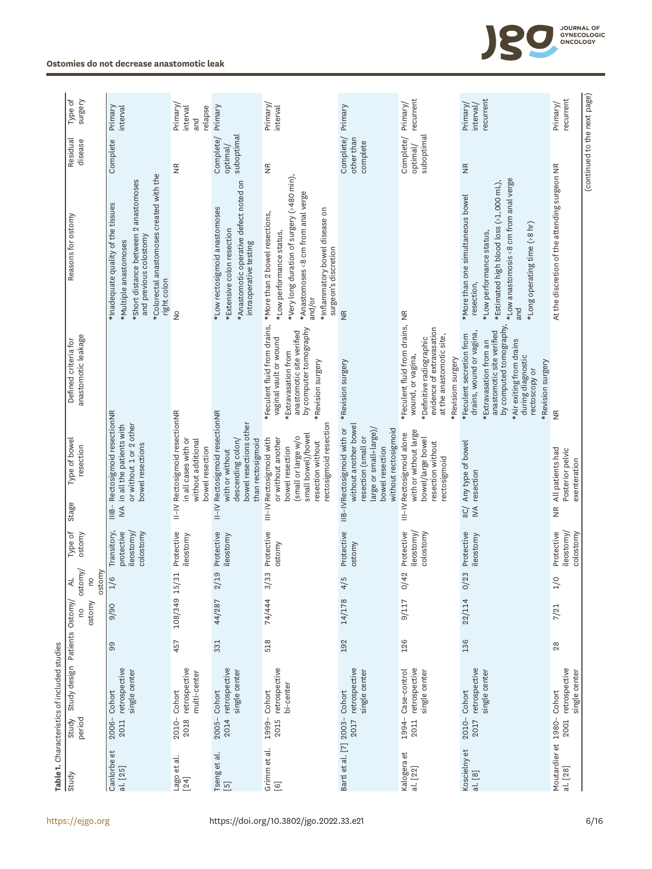<span id="page-5-0"></span>

| Type of                                                                                | surgery                 | Primary<br>interval                                                                                                                                                                         | Primary/<br>interval<br>relapse<br>and                                                          | Primary                                                                                                                         | Primary/<br>interval                                                                                                                                                                                                |                                                                                                                                                  | recurrent<br>Primary/                                                                                                                                          | recurrent<br>Primary/<br>interval/                                                                                                                                                                                            | recurrent<br>Primary/                                                     |
|----------------------------------------------------------------------------------------|-------------------------|---------------------------------------------------------------------------------------------------------------------------------------------------------------------------------------------|-------------------------------------------------------------------------------------------------|---------------------------------------------------------------------------------------------------------------------------------|---------------------------------------------------------------------------------------------------------------------------------------------------------------------------------------------------------------------|--------------------------------------------------------------------------------------------------------------------------------------------------|----------------------------------------------------------------------------------------------------------------------------------------------------------------|-------------------------------------------------------------------------------------------------------------------------------------------------------------------------------------------------------------------------------|---------------------------------------------------------------------------|
| Residual                                                                               | disease                 | Complete                                                                                                                                                                                    | €                                                                                               | suboptimal<br>Complete/<br>optimal/                                                                                             | $\frac{\kappa}{2}$                                                                                                                                                                                                  | Complete/ Primary<br>other than<br>complete                                                                                                      | Complete/<br>suboptimal<br>optimal/                                                                                                                            | $\widetilde{\Xi}$                                                                                                                                                                                                             | (continued to the next page)                                              |
| Reasons for ostomy                                                                     |                         | *Colorectal anastomoses created with the<br>*Short distance between 2 anastomoses<br>* Inadequate quality of the tissues<br>and previous colostomy<br>* Multiple anastomoses<br>right colon | $\frac{1}{2}$                                                                                   | *Anastomotic operative defect noted on<br>*Low rectosigmoid anastomoses<br>*Extensive colon resection<br>intraoperative testing | *Very long duration of surgery (>480 min),<br>*Anastomoses <8 cm from anal verge<br>*Inflammatory bowel disease on<br>* More than 2 bowel resections,<br>*Low performance status,<br>surgeon's discretion<br>and/or | $\frac{\alpha}{2}$                                                                                                                               |                                                                                                                                                                | *Low anastomosis <8 cm from anal verge<br>*Estimated high blood loss (>1,000 mL),<br>* More than one simultaneous bowel<br>*Long operating time (>8 hr)<br>*Low performance status,<br>resection,<br>and                      | At the discretion of the attending surgeon NR                             |
| Defined criteria for                                                                   | anastomotic leakage     |                                                                                                                                                                                             |                                                                                                 |                                                                                                                                 | *Feculent fluid from drains,<br>by computer tomography<br>anastomotic site verified<br>vaginal vault or wound<br>*Extravasation from<br>*Revision surgery                                                           | *Revision surgery                                                                                                                                | *Feculent fluid from drains, NR<br>evidence of extravasation<br>at the anastomotic site,<br>*Definitive radiographic<br>wound, or vagina,<br>*Revisiom surgery | by computed tomography,<br>anastomotic site verified<br>drains, wound or vagina,<br>*Feculent secretion from<br>*Air exiting from drains<br>*Extravasation from an<br>during diagnostic<br>*Revision surgery<br>rectoscopy or | $\frac{\alpha}{2}$                                                        |
| Type of bowel<br>Stage                                                                 | resection               | Rectosigmoid resectionNR<br>in all the patients with<br>or without 1 or 2 other<br>bowel resections<br>$\overline{\mathsf{H}}$<br>$\leq$                                                    | II-IV Rectosigmoid resectionNR<br>in all cases with or<br>without additional<br>bowel resection | II-IV Rectosigmoid resectionNR<br>bowel resections other<br>than rectosigmoid<br>descending colon/<br>with or without           | rectosigmoid resection<br>small bowel)/bowel<br>(small or large w/o<br>III-IV Rectosigmoid with<br>or without another<br>resection without<br>bowel resection                                                       | without another bowel<br>IIB-IV Rectosigmoid with or<br>large or small+large)/<br>without rectosigmoid<br>resection (small or<br>bowel resection | with or without large<br>III-IV Rectosigmoid alone<br>bowel/large bowel<br>resection without<br>rectosigmoid                                                   | Any type of bowel<br>resection<br>$\mathbb{N}$<br>$\overline{11}C$                                                                                                                                                            | All patients had<br>Posterior pelvic<br>exenteration<br>$\widetilde{\Xi}$ |
| Type of                                                                                | ostomy                  | Transitory,<br>ileostomy/<br>protective<br>colostomy                                                                                                                                        | Protective<br>ileostomy                                                                         | Protective<br>ileostomy                                                                                                         | Protective<br>ostomy                                                                                                                                                                                                | Protective<br>ostomy                                                                                                                             | Protective<br>ileostomy/<br>colostomy                                                                                                                          | Protective<br>ileostomy                                                                                                                                                                                                       | Protective<br>ileostomy/<br>colostomy                                     |
| ⋖                                                                                      | ostomy/<br>ostomy<br>Ou | $1/6$                                                                                                                                                                                       |                                                                                                 | 2/19                                                                                                                            | 3/33                                                                                                                                                                                                                | 5<br>$\frac{4}{5}$                                                                                                                               | 42<br>১                                                                                                                                                        | O/23                                                                                                                                                                                                                          | $\circ$<br>ュ                                                              |
|                                                                                        | ostomy                  | 06/6                                                                                                                                                                                        | 108/349 15/31                                                                                   | 44/287                                                                                                                          | 74/444                                                                                                                                                                                                              | 14/178                                                                                                                                           | 9/117                                                                                                                                                          | 22/114                                                                                                                                                                                                                        | 7/21                                                                      |
|                                                                                        |                         | 99                                                                                                                                                                                          | 457                                                                                             | 331                                                                                                                             | 518                                                                                                                                                                                                                 | 192                                                                                                                                              | 126                                                                                                                                                            | 136                                                                                                                                                                                                                           | $^{28}$                                                                   |
| Study design Patients Ostomy/<br>Table 1. Characteristics of included studies<br>Study | period                  | retrospective<br>single center<br>Cohort<br>2006-<br>2011                                                                                                                                   | retrospective<br>multi-center<br>Cohort<br>2010-<br>2018                                        | retrospective<br>single center<br>Cohort<br>$2005 -$<br>2014                                                                    | retrospective<br>bi-center<br>Cohort<br>1999-<br>2015                                                                                                                                                               | retrospective<br>single center<br>Cohort<br>2017                                                                                                 | retrospective<br>1994- Case-control<br>single center<br>2011                                                                                                   | retrospective<br>single center<br>Cohort<br>2010-<br>2017                                                                                                                                                                     | retrospective<br>single center<br>Moutardier et 1980- Cohort<br>2001      |
| Study                                                                                  |                         | Canlorbe et<br>al. [25]                                                                                                                                                                     | Lago et al.<br>$[24]$                                                                           | Tseng et al.<br>[5]                                                                                                             | Grimm et al.<br>$[6]$                                                                                                                                                                                               | Bartl et al. [7] 2003-                                                                                                                           | Kalogera et<br>al. [22]                                                                                                                                        | Koscielny et<br>al. [8]                                                                                                                                                                                                       | al. [28]                                                                  |

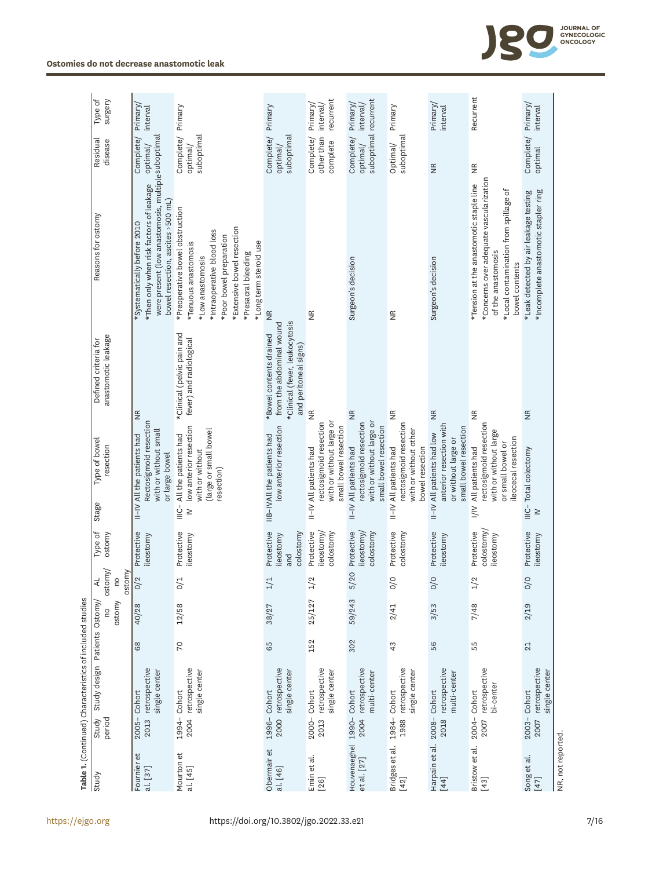|                                                 |                  | Table 1. (Continued) Characteristics of included studies |     |             |                                          |                                             |                                                |                                                                                                                 |                                                                                                                |                                                                                                                                                                                                                     |                                               |                                   |
|-------------------------------------------------|------------------|----------------------------------------------------------|-----|-------------|------------------------------------------|---------------------------------------------|------------------------------------------------|-----------------------------------------------------------------------------------------------------------------|----------------------------------------------------------------------------------------------------------------|---------------------------------------------------------------------------------------------------------------------------------------------------------------------------------------------------------------------|-----------------------------------------------|-----------------------------------|
| Study                                           | period<br>Study  | Study design Patients Ostomy,                            |     | ostomy<br>2 | ostomy/<br>ostomy<br>₹<br>$\overline{c}$ | Type of<br>ostomy                           | Stage                                          | Type of bowel<br>resection                                                                                      | anastomotic leakage<br>Defined criteria for                                                                    | Reasons for ostomy                                                                                                                                                                                                  | Residual<br>disease                           | Type of<br>surgery                |
| $\overline{\mathbf{e}}$<br>Fournier<br>al. [37] | $2005 -$<br>2013 | retrospective<br>single center<br>Cohort                 | 68  | 40/28       | O/2                                      | Protective<br>ileostomy                     |                                                | Rectosigmoid resection<br>with or without small<br>II-IV All the patients had<br>or large bowel                 | $\frac{\alpha}{2}$                                                                                             | were present (low anastomosis, multiple suboptimal<br>* Then only when risk factors of leakage<br>bowel resection, ascites >500 mL)<br>*Systematically before 2010                                                  | Complete/<br>optimal/                         | Primary/<br>interval              |
| Mourton et<br>al. [45]                          | 1994-<br>2004    | retrospective<br>single center<br>Cohort                 | 70  | 12/58       | 0/1                                      | Protective<br>ileostomy                     | resection)<br>$\stackrel{L}{\equiv}$<br>$\geq$ | low anterior resection<br>(large or small bowel<br>All the patients had<br>with or without                      | *Clinical (pelvic pain and<br>fever) and radiological                                                          | *Preoperative bowel obstruction<br>*Extensive bowel resection<br>*Intraoperative blood loss<br>*Poor bowel preparation<br>*Long term steroid use<br>*Tenuous anastomosis<br>*Presacral bleeding<br>*Low anastomosis | Complete/<br>suboptimal<br>optimal/           | Primary                           |
| Obermair et<br>al. [46]                         | 1996-<br>2000    | retrospective<br>single center<br>Cohort                 | 65  | 38/27       | 1/1                                      | Protective<br>colostomy<br>ileostomy<br>and |                                                | low anterior resection<br>IIB-IVAll the patients had                                                            | *Clinical (fever, leukocytosis<br>from the abdominal wound<br>*Bowel contents drained<br>and peritoneal signs) | $\frac{\mathsf{R}}{\mathsf{Z}}$                                                                                                                                                                                     | suboptimal<br>Complete/<br>optimal/           | Primary                           |
| Emin et al.<br>$[26]$                           | 2000-<br>2013    | retrospective<br>single center<br>Cohort                 | 152 | 25/127      | 1/2                                      | Protective<br>leostomy<br>colostomy         | II-IV All patients had                         | with or without large or<br>rectosigmoid resection<br>small bowel resection                                     | $\frac{\alpha}{2}$                                                                                             | $\frac{\alpha}{\alpha}$                                                                                                                                                                                             | Complete/<br>other than<br>complete           | recurrent<br>Primary/<br>interval |
| Houvenaeghel<br>et al. [27]                     | 1990-<br>2004    | retrospective<br>multi-center<br>Cohort                  | 302 | 59/243      | $\circ$<br>5/2                           | Protective<br>ileostomy<br>colostomy        | II-IV All patients had                         | with or without large or<br>rectosigmoid resection<br>small bowel resection                                     | $\frac{\alpha}{2}$                                                                                             | Surgeon's decision                                                                                                                                                                                                  | suboptimal recurrent<br>Complete/<br>optimal/ | Primary/<br>interval,             |
| Bridges et al.<br>[42]                          | 1988             | retrospective<br>single center<br>1984- Cohort           | 43  | 2/41        | $\frac{1}{2}$                            | Protective<br>colostomy                     | II-IV All patients had                         | rectosigmoid resection<br>with or without other<br>bowel resection                                              | $\frac{\alpha}{2}$                                                                                             | $\frac{\pi}{2}$                                                                                                                                                                                                     | suboptimal<br>Optimal/                        | Primary                           |
| Harpain et al.<br>$[44]$                        | 2018             | retrospective<br>multi-center<br>2008-Cohort             | 56  | 3/53        | O/O                                      | Protective<br>ileostomy                     |                                                | anterior resection with<br>small bowel resection<br>II-IV All patients had low<br>or without large or           | $\frac{\alpha}{2}$                                                                                             | Surgeon's decision                                                                                                                                                                                                  | $\frac{\alpha}{2}$                            | Primary/<br>interval              |
| Bristow et al.<br>$[43]$                        | 2007             | retrospective<br>bi-center<br>2004-Cohort                | 55  | 7/48        | 1/2                                      | colostomy<br>Protective<br>ileostomy        | $\geq$                                         | rectosigmoid resection<br>with or without large<br>ileocecal resection<br>or small bowel or<br>All patients had | $\frac{\alpha}{2}$                                                                                             | *Concerns over adequate vascularization<br>*Tension at the anastomotic staple line<br>*Local contamination from spillage of<br>of the anastomosis<br>bowel contents                                                 | $\frac{\alpha}{2}$                            | Recurrent                         |
| Song et al.<br>$[47]$                           | $2003 -$<br>2007 | retrospective<br>single center<br>Cohort                 | 21  | 2/19        | O/O                                      | Protective<br>ileostomy                     | $\frac{1}{2}$<br>$\geq$                        | Total colectomy                                                                                                 | $\frac{\alpha}{2}$                                                                                             | * Incomplete anastomotic stapler ring<br>*Leak detected by air leakage testing                                                                                                                                      | Complete/<br>optimal                          | Primary<br>interval               |
| NR, not reported                                |                  |                                                          |     |             |                                          |                                             |                                                |                                                                                                                 |                                                                                                                |                                                                                                                                                                                                                     |                                               |                                   |

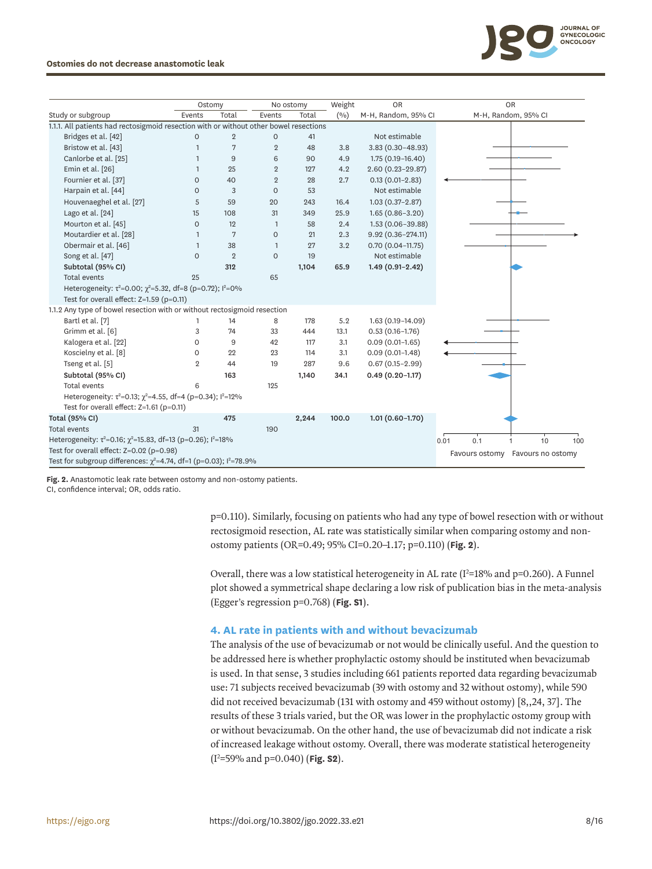

### **Ostomies do not decrease anastomotic leak**

|                                                                                       | Ostomy              |                |                     | No ostomy | Weight | <b>OR</b>             | <b>OR</b>                                |
|---------------------------------------------------------------------------------------|---------------------|----------------|---------------------|-----------|--------|-----------------------|------------------------------------------|
| Study or subgroup                                                                     | Events              | Total          | Events              | Total     | (9/0)  | M-H, Random, 95% CI   | M-H, Random, 95% CI                      |
| 1.1.1. All patients had rectosigmoid resection with or without other bowel resections |                     |                |                     |           |        |                       |                                          |
| Bridges et al. [42]                                                                   | $\mathsf{O}\xspace$ | $\overline{2}$ | $\mathsf{O}\xspace$ | 41        |        | Not estimable         |                                          |
| Bristow et al. [43]                                                                   | $\mathbf{1}$        | 7              | $\overline{2}$      | 48        | 3.8    | $3.83(0.30 - 48.93)$  |                                          |
| Canlorbe et al. [25]                                                                  |                     | $9\,$          | 6                   | 90        | 4.9    | $1.75(0.19 - 16.40)$  |                                          |
| Emin et al. [26]                                                                      |                     | 25             | $\overline{2}$      | 127       | 4.2    | $2.60(0.23 - 29.87)$  |                                          |
| Fournier et al. [37]                                                                  | $\circ$             | 40             | $\overline{2}$      | 28        | 2.7    | $0.13(0.01-2.83)$     |                                          |
| Harpain et al. [44]                                                                   | $\circ$             | 3              | $\circ$             | 53        |        | Not estimable         |                                          |
| Houvenaeghel et al. [27]                                                              | 5                   | 59             | 20                  | 243       | 16.4   | $1.03(0.37-2.87)$     |                                          |
| Lago et al. [24]                                                                      | 15                  | 108            | 31                  | 349       | 25.9   | $1.65(0.86 - 3.20)$   |                                          |
| Mourton et al. [45]                                                                   | $\mathbf 0$         | 12             | $\mathbf{1}$        | 58        | 2.4    | 1.53 (0.06-39.88)     |                                          |
| Moutardier et al. [28]                                                                | $\mathbf{1}$        | 7              | $\mathsf{O}\xspace$ | 21        | 2.3    | $9.92(0.36 - 274.11)$ |                                          |
| Obermair et al. [46]                                                                  | $\mathbf{1}$        | 38             | $\mathbf{1}$        | 27        | 3.2    | $0.70(0.04-11.75)$    |                                          |
| Song et al. [47]                                                                      | $\circ$             | $\overline{2}$ | $\circ$             | 19        |        | Not estimable         |                                          |
| Subtotal (95% CI)                                                                     |                     | 312            |                     | 1,104     | 65.9   | $1.49(0.91-2.42)$     |                                          |
| <b>Total events</b>                                                                   | 25                  |                | 65                  |           |        |                       |                                          |
| Heterogeneity: $\tau^2 = 0.00$ ; $\chi^2 = 5.32$ , df=8 (p=0.72); $l^2 = 0\%$         |                     |                |                     |           |        |                       |                                          |
| Test for overall effect: $Z=1.59$ (p=0.11)                                            |                     |                |                     |           |        |                       |                                          |
| 1.1.2 Any type of bowel resection with or without rectosigmoid resection              |                     |                |                     |           |        |                       |                                          |
| Bartl et al. [7]                                                                      |                     | 14             | 8                   | 178       | 5.2    | 1.63 (0.19-14.09)     |                                          |
| Grimm et al. [6]                                                                      | 3                   | 74             | 33                  | 444       | 13.1   | $0.53(0.16 - 1.76)$   |                                          |
| Kalogera et al. [22]                                                                  | 0                   | 9              | 42                  | 117       | 3.1    | $0.09(0.01-1.65)$     |                                          |
| Koscielny et al. [8]                                                                  | 0                   | 22             | 23                  | 114       | 3.1    | $0.09(0.01-1.48)$     |                                          |
| Tseng et al. [5]                                                                      | $\overline{2}$      | 44             | 19                  | 287       | 9.6    | $0.67(0.15-2.99)$     |                                          |
| Subtotal (95% CI)                                                                     |                     | 163            |                     | 1,140     | 34.1   | $0.49(0.20 - 1.17)$   |                                          |
| Total events                                                                          | 6                   |                | 125                 |           |        |                       |                                          |
| Heterogeneity: $\tau^2 = 0.13$ ; $\gamma^2 = 4.55$ , df=4 (p=0.34); $\tau^2 = 12\%$   |                     |                |                     |           |        |                       |                                          |
| Test for overall effect: Z=1.61 (p=0.11)                                              |                     |                |                     |           |        |                       |                                          |
| Total (95% CI)                                                                        |                     | 475            |                     | 2,244     | 100.0  | $1.01(0.60 - 1.70)$   |                                          |
| <b>Total events</b>                                                                   | 31                  |                | 190                 |           |        |                       |                                          |
| Heterogeneity: $\tau^2 = 0.16$ ; $\chi^2 = 15.83$ , df=13 (p=0.26); $l^2 = 18\%$      |                     |                |                     |           |        |                       | 0.1<br>10<br>0.01<br>100<br>$\mathbf{1}$ |
| Test for overall effect: $Z=0.02$ (p=0.98)                                            |                     |                |                     |           |        |                       | Favours no ostomy<br>Favours ostomy      |
| Test for subgroup differences: $\chi^2$ =4.74, df=1 (p=0.03); l <sup>2</sup> =78.9%   |                     |                |                     |           |        |                       |                                          |

<span id="page-7-0"></span>**Fig. 2.** Anastomotic leak rate between ostomy and non-ostomy patients.

CI, confidence interval; OR, odds ratio.

p=0.110). Similarly, focusing on patients who had any type of bowel resection with or without rectosigmoid resection, AL rate was statistically similar when comparing ostomy and nonostomy patients (OR=0.49; 95% CI=0.20–1.17; p=0.110) (**[Fig. 2](#page-7-0)**).

Overall, there was a low statistical heterogeneity in AL rate ( $I^2=18\%$  and  $p=0.260$ ). A Funnel plot showed a symmetrical shape declaring a low risk of publication bias in the meta-analysis (Egger's regression p=0.768) (**[Fig. S1](#page-12-3)**).

### **4. AL rate in patients with and without bevacizumab**

<span id="page-7-1"></span>The analysis of the use of bevacizumab or not would be clinically useful. And the question to be addressed here is whether prophylactic ostomy should be instituted when bevacizumab is used. In that sense, 3 studies including 661 patients reported data regarding bevacizumab use: 71 subjects received bevacizumab (39 with ostomy and 32 without ostomy), while 590 did not received bevacizumab (131 with ostomy and 459 without ostomy) [[8,](#page-13-5)[,24](#page-14-5), [37](#page-15-2)]. The results of these 3 trials varied, but the OR was lower in the prophylactic ostomy group with or without bevacizumab. On the other hand, the use of bevacizumab did not indicate a risk of increased leakage without ostomy. Overall, there was moderate statistical heterogeneity (I2 =59% and p=0.040) (**[Fig. S2](#page-12-4)**).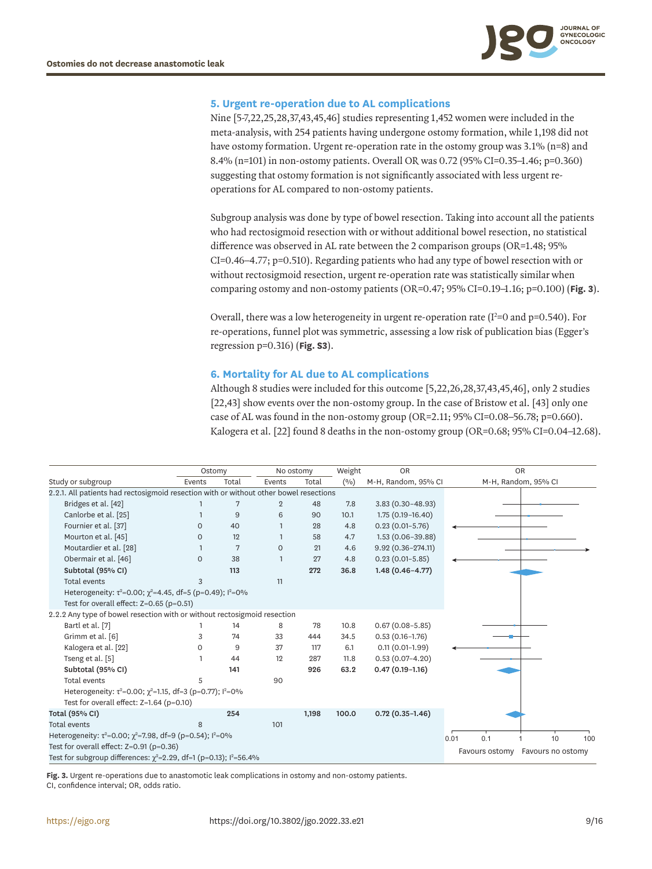

### **5. Urgent re-operation due to AL complications**

<span id="page-8-1"></span>Nine [\[5](#page-13-4)[-7](#page-13-7)[,22](#page-14-3)[,25](#page-14-11),[28](#page-14-7),[37](#page-15-2)[,43,](#page-15-12)[45,](#page-15-11)[46\]](#page-15-10) studies representing 1,452 women were included in the meta-analysis, with 254 patients having undergone ostomy formation, while 1,198 did not have ostomy formation. Urgent re-operation rate in the ostomy group was 3.1% (n=8) and 8.4% (n=101) in non-ostomy patients. Overall OR was 0.72 (95% CI=0.35–1.46; p=0.360) suggesting that ostomy formation is not significantly associated with less urgent reoperations for AL compared to non-ostomy patients.

Subgroup analysis was done by type of bowel resection. Taking into account all the patients who had rectosigmoid resection with or without additional bowel resection, no statistical difference was observed in AL rate between the 2 comparison groups (OR=1.48; 95% CI=0.46–4.77; p=0.510). Regarding patients who had any type of bowel resection with or without rectosigmoid resection, urgent re-operation rate was statistically similar when comparing ostomy and non-ostomy patients (OR=0.47; 95% CI=0.19–1.16; p=0.100) (**[Fig. 3](#page-8-0)**).

Overall, there was a low heterogeneity in urgent re-operation rate ( $I^2$ =0 and p=0.540). For re-operations, funnel plot was symmetric, assessing a low risk of publication bias (Egger's regression p=0.316) (**[Fig. S3](#page-12-5)**).

### **6. Mortality for AL due to AL complications**

<span id="page-8-3"></span><span id="page-8-2"></span>Although 8 studies were included for this outcome [\[5](#page-13-4)[,22](#page-14-3)[,26](#page-14-12)[,28](#page-14-7)[,37,](#page-15-2)[43](#page-15-12)[,45](#page-15-11)[,46](#page-15-10)], only 2 studies [[22,](#page-14-3)[43\]](#page-15-12) show events over the non-ostomy group. In the case of Bristow et al. [[43\]](#page-15-12) only one case of AL was found in the non-ostomy group  $(OR=2.11; 95\% CI=0.08-56.78; p=0.660)$ . Kalogera et al. [\[22](#page-14-3)] found 8 deaths in the non-ostomy group (OR=0.68; 95% CI=0.04–12.68).

|                                                                                             | Ostomy   |       | No ostomy      |       | Weight | <b>OR</b>             | <b>OR</b>           |                   |     |
|---------------------------------------------------------------------------------------------|----------|-------|----------------|-------|--------|-----------------------|---------------------|-------------------|-----|
| Study or subgroup                                                                           | Events   | Total | Events         | Total | (0/0)  | M-H, Random, 95% CI   | M-H, Random, 95% CI |                   |     |
| 2.2.1. All patients had rectosigmoid resection with or without other bowel resections       |          |       |                |       |        |                       |                     |                   |     |
| Bridges et al. [42]                                                                         |          | 7     | $\overline{2}$ | 48    | 7.8    | $3.83(0.30 - 48.93)$  |                     |                   |     |
| Canlorbe et al. [25]                                                                        |          | 9     | 6              | 90    | 10.1   | $1.75(0.19 - 16.40)$  |                     |                   |     |
| Fournier et al. [37]                                                                        | $\circ$  | 40    |                | 28    | 4.8    | $0.23(0.01-5.76)$     |                     |                   |     |
| Mourton et al. [45]                                                                         | $\Omega$ | 12    |                | 58    | 4.7    | $1.53(0.06 - 39.88)$  |                     |                   |     |
| Moutardier et al. [28]                                                                      |          | 7     | $\Omega$       | 21    | 4.6    | $9.92(0.36 - 274.11)$ |                     |                   |     |
| Obermair et al. [46]                                                                        | $\circ$  | 38    |                | 27    | 4.8    | $0.23(0.01 - 5.85)$   |                     |                   |     |
| Subtotal (95% CI)                                                                           |          | 113   |                | 272   | 36.8   | $1.48(0.46 - 4.77)$   |                     |                   |     |
| <b>Total events</b>                                                                         | 3        |       | 11             |       |        |                       |                     |                   |     |
| Heterogeneity: $\tau^2 = 0.00$ ; $\gamma^2 = 4.45$ , df=5 (p=0.49); $\frac{1^2}{1^2} = 0\%$ |          |       |                |       |        |                       |                     |                   |     |
| Test for overall effect: $Z=0.65$ (p=0.51)                                                  |          |       |                |       |        |                       |                     |                   |     |
| 2.2.2 Any type of bowel resection with or without rectosigmoid resection                    |          |       |                |       |        |                       |                     |                   |     |
| Bartl et al. [7]                                                                            |          | 14    | 8              | 78    | 10.8   | $0.67(0.08 - 5.85)$   |                     |                   |     |
| Grimm et al. [6]                                                                            | 3        | 74    | 33             | 444   | 34.5   | $0.53(0.16-1.76)$     |                     |                   |     |
| Kalogera et al. [22]                                                                        | 0        | 9     | 37             | 117   | 6.1    | $0.11(0.01-1.99)$     |                     |                   |     |
| Tseng et al. [5]                                                                            |          | 44    | 12             | 287   | 11.8   | $0.53(0.07 - 4.20)$   |                     |                   |     |
| Subtotal (95% CI)                                                                           |          | 141   |                | 926   | 63.2   | $0.47(0.19 - 1.16)$   |                     |                   |     |
| Total events                                                                                |          |       | 90             |       |        |                       |                     |                   |     |
| Heterogeneity: $\tau^2$ =0.00; $\chi^2$ =1.15, df=3 (p=0.77); l <sup>2</sup> =0%            |          |       |                |       |        |                       |                     |                   |     |
| Test for overall effect: $Z=1.64$ (p=0.10)                                                  |          |       |                |       |        |                       |                     |                   |     |
| Total (95% CI)                                                                              |          | 254   |                | 1,198 | 100.0  | $0.72(0.35 - 1.46)$   |                     |                   |     |
| <b>Total events</b>                                                                         | 8        |       | 101            |       |        |                       |                     |                   |     |
| Heterogeneity: $\tau^2 = 0.00$ ; $\gamma^2 = 7.98$ , df=9 (p=0.54); $\ell^2 = 0\%$          |          |       |                |       |        |                       | 0.1<br>0.01         | 10                | 100 |
| Test for overall effect: $Z=0.91$ (p=0.36)                                                  |          |       |                |       |        |                       |                     |                   |     |
| Test for subgroup differences: $\chi^2$ =2.29, df=1 (p=0.13); $l^2$ =56.4%                  |          |       |                |       |        |                       | Favours ostomy      | Favours no ostomy |     |

<span id="page-8-0"></span>**Fig. 3.** Urgent re-operations due to anastomotic leak complications in ostomy and non-ostomy patients.

CI, confidence interval; OR, odds ratio.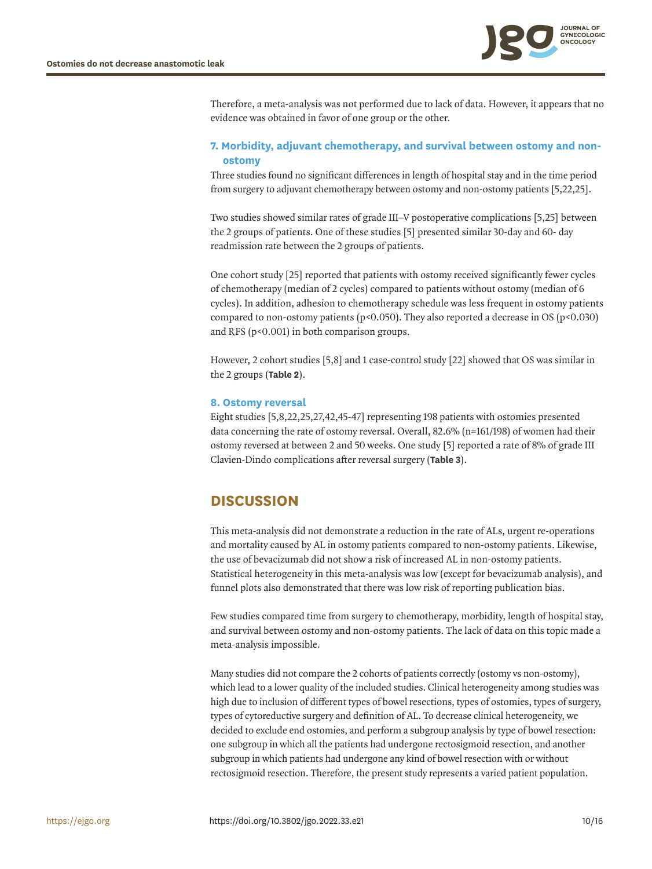

Therefore, a meta-analysis was not performed due to lack of data. However, it appears that no evidence was obtained in favor of one group or the other.

### **7. Morbidity, adjuvant chemotherapy, and survival between ostomy and nonostomy**

Three studies found no significant differences in length of hospital stay and in the time period from surgery to adjuvant chemotherapy between ostomy and non-ostomy patients [[5](#page-13-4),[22,](#page-14-3)[25](#page-14-11)].

Two studies showed similar rates of grade III–V postoperative complications [[5](#page-13-4)[,25](#page-14-11)] between the 2 groups of patients. One of these studies [[5](#page-13-4)] presented similar 30-day and 60- day readmission rate between the 2 groups of patients.

One cohort study [\[25](#page-14-11)] reported that patients with ostomy received significantly fewer cycles of chemotherapy (median of 2 cycles) compared to patients without ostomy (median of 6 cycles). In addition, adhesion to chemotherapy schedule was less frequent in ostomy patients compared to non-ostomy patients ( $p<0.050$ ). They also reported a decrease in OS ( $p<0.030$ ) and RFS (p<0.001) in both comparison groups.

However, 2 cohort studies [[5](#page-13-4)[,8\]](#page-13-5) and 1 case-control study [\[22\]](#page-14-3) showed that OS was similar in the 2 groups (**[Table 2](#page-10-0)**).

### **8. Ostomy reversal**

<span id="page-9-1"></span><span id="page-9-0"></span>Eight studies [[5](#page-13-4)[,8](#page-13-5)[,22](#page-14-3)[,25,](#page-14-11)[27](#page-14-6)[,42](#page-15-7)[,45-](#page-15-11)[47](#page-15-8)] representing 198 patients with ostomies presented data concerning the rate of ostomy reversal. Overall, 82.6% (n=161/198) of women had their ostomy reversed at between 2 and 50 weeks. One study [\[5](#page-13-4)] reported a rate of 8% of grade III Clavien-Dindo complications after reversal surgery (**[Table 3](#page-11-0)**).

# **DISCUSSION**

This meta-analysis did not demonstrate a reduction in the rate of ALs, urgent re-operations and mortality caused by AL in ostomy patients compared to non-ostomy patients. Likewise, the use of bevacizumab did not show a risk of increased AL in non-ostomy patients. Statistical heterogeneity in this meta-analysis was low (except for bevacizumab analysis), and funnel plots also demonstrated that there was low risk of reporting publication bias.

Few studies compared time from surgery to chemotherapy, morbidity, length of hospital stay, and survival between ostomy and non-ostomy patients. The lack of data on this topic made a meta-analysis impossible.

Many studies did not compare the 2 cohorts of patients correctly (ostomy vs non-ostomy), which lead to a lower quality of the included studies. Clinical heterogeneity among studies was high due to inclusion of different types of bowel resections, types of ostomies, types of surgery, types of cytoreductive surgery and definition of AL. To decrease clinical heterogeneity, we decided to exclude end ostomies, and perform a subgroup analysis by type of bowel resection: one subgroup in which all the patients had undergone rectosigmoid resection, and another subgroup in which patients had undergone any kind of bowel resection with or without rectosigmoid resection. Therefore, the present study represents a varied patient population.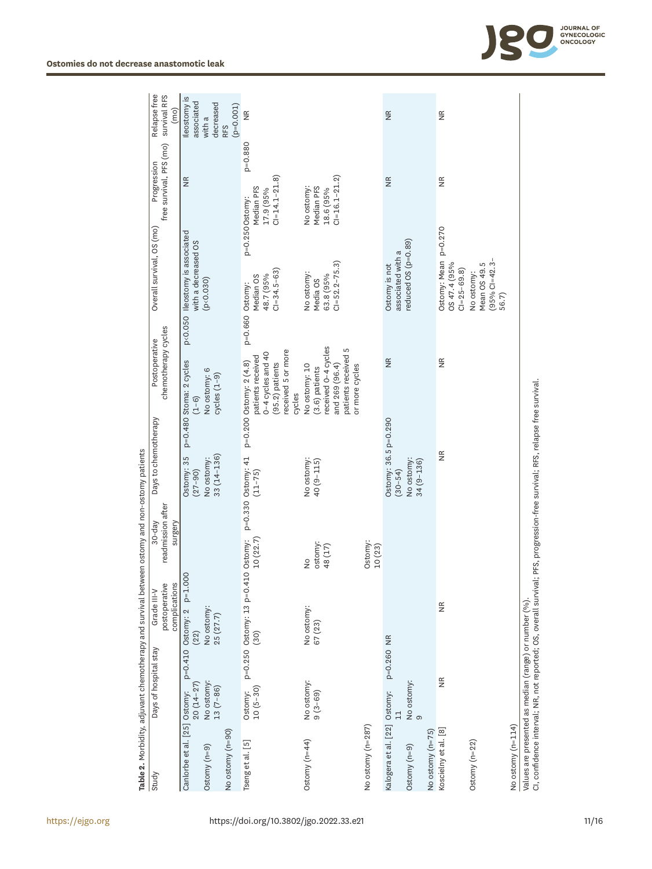|                                                      |                         |            | $\sf Table\,2$ . Morbidity, adjuvant chemotherapy and survival between ostomy and non-ostomy patients                        |                                          |                                     |                                                                                                                        |                 |                                                           |                                                                                |                                      |
|------------------------------------------------------|-------------------------|------------|------------------------------------------------------------------------------------------------------------------------------|------------------------------------------|-------------------------------------|------------------------------------------------------------------------------------------------------------------------|-----------------|-----------------------------------------------------------|--------------------------------------------------------------------------------|--------------------------------------|
| Study                                                | Days of hospital stay   |            | complications<br>postoperative<br>Grade III-V                                                                                | readmission after<br>$30-day$<br>surgery | Days to chemotherapy                | chemotherapy cycles<br>Postoperative                                                                                   |                 | Overall survival, OS (mo)                                 | free survival, PFS (mo)<br>Progression                                         | Relapse free<br>survival RFS<br>(mo) |
| Canlorbe et al. [25] Ostomy:                         | $20(14-27)$             |            | p=0.410 Ostomy: 2 p=1.000<br>(22)                                                                                            |                                          | Ostomy: 35<br>$(27 - 90)$           | p=0.480 Stoma: 2 cycles<br>$(1 - 6)$                                                                                   |                 | p<0.050 Ileostomy is associated<br>with a decreased OS    | $\frac{\alpha}{\alpha}$                                                        | Ileostomy is<br>associated           |
| Ostomy (n=9)                                         | No ostomy:<br>13 (7-86) |            | No ostomy:<br>25 $(27.7)$                                                                                                    |                                          | $33(14 - 136)$<br>No ostomy:        | No ostomy: 6<br>$cycles(1-9)$                                                                                          |                 | (p < 0.030)                                               |                                                                                | decreased<br>with a                  |
| No ostomy (n=90)                                     |                         |            |                                                                                                                              |                                          |                                     |                                                                                                                        |                 |                                                           |                                                                                | $(p=0.001)$<br>RFS                   |
| Tseng et al. [5]                                     | $10(5-30)$<br>Ostomy:   |            | p=0.250 Ostomy: 13 p=0.410 Ostomy:<br>(30)                                                                                   | 10(22.7)                                 | p=0.330 Ostomy: 41<br>$(11 - 75)$   | received 5 or more<br>0-4 cycles and 40<br>patients received<br>p=0.200 Ostomy: 2 (4.8)<br>$(95.2)$ patients<br>cycles | p=0.660 Ostomy: | $C = 34.5 - 63$<br>48.7 (95%<br>Median OS                 | $p = 0.880$<br>$C = 14.1 - 21.8$<br>Median PFS<br>17.9 (95%<br>p=0.250 Ostomy: | $\frac{\alpha}{2}$                   |
| Ostomy $(n=44)$                                      | No ostomy:<br>$9(3-69)$ |            | No ostomy:<br>67 (23)                                                                                                        | ostomy:<br>48 (17)<br>$\frac{1}{2}$      | No ostomy:<br>$40(9 - 115)$         | received 0-4 cycles<br>S<br>patients received<br>No ostomy: 10<br>and 269 (96.4)<br>or more cycles<br>$(3.6)$ patients |                 | $CI = 52.2 - 75.3$<br>No ostomy:<br>63.8 (95%<br>Media OS | $C = 16.1 - 21.2$<br>Median PFS<br>No ostomy:<br>18.6 (95%                     |                                      |
| No ostomy (n=287)                                    |                         |            |                                                                                                                              | Ostomy:<br>10(23)                        |                                     |                                                                                                                        |                 |                                                           |                                                                                |                                      |
| Kalogera et al. [22] Ostomy:                         | $\mathbb{1}$            | p=0.260 NR |                                                                                                                              |                                          | Ostomy: 36.5 p=0.290<br>$(30 - 54)$ | $\frac{\alpha}{2}$                                                                                                     |                 | associated with a<br>Ostomy is not                        | $\frac{\mathsf{R}}{\mathsf{Z}}$                                                | $\frac{\mathsf{R}}{\mathsf{Z}}$      |
| Ostomy (n=9)                                         | No ostomy:<br>$\circ$   |            |                                                                                                                              |                                          | No ostomy:<br>$34(9 - 136)$         |                                                                                                                        |                 | reduced OS (p=0.89)                                       |                                                                                |                                      |
| No ostomy (n=75)                                     |                         |            |                                                                                                                              |                                          |                                     |                                                                                                                        |                 |                                                           |                                                                                |                                      |
| Koscielny et al. [8]                                 | $\widetilde{\Xi}$       |            | $\widetilde{\Xi}$                                                                                                            |                                          | $\frac{\alpha}{2}$                  | $\frac{\alpha}{2}$                                                                                                     |                 | Ostomy: Mean p=0.270<br>OS 47.4 (95%<br>$CI = 25 - 69.8$  | $\frac{\alpha}{2}$                                                             | $\frac{\alpha}{2}$                   |
| Ostomy $(n=22)$                                      |                         |            |                                                                                                                              |                                          |                                     |                                                                                                                        |                 | $(95\%$ CI=42.3-<br>Mean OS 49.5<br>No ostomy:<br>56.7)   |                                                                                |                                      |
| No ostomy (n=114)                                    |                         |            |                                                                                                                              |                                          |                                     |                                                                                                                        |                 |                                                           |                                                                                |                                      |
| Values are presented as median (range) or number (%) |                         |            | CI, confidence interval; NR, not reported; OS, overall survival; PFS, progression-free survival; RFS, relapse free survival. |                                          |                                     |                                                                                                                        |                 |                                                           |                                                                                |                                      |



<span id="page-10-0"></span>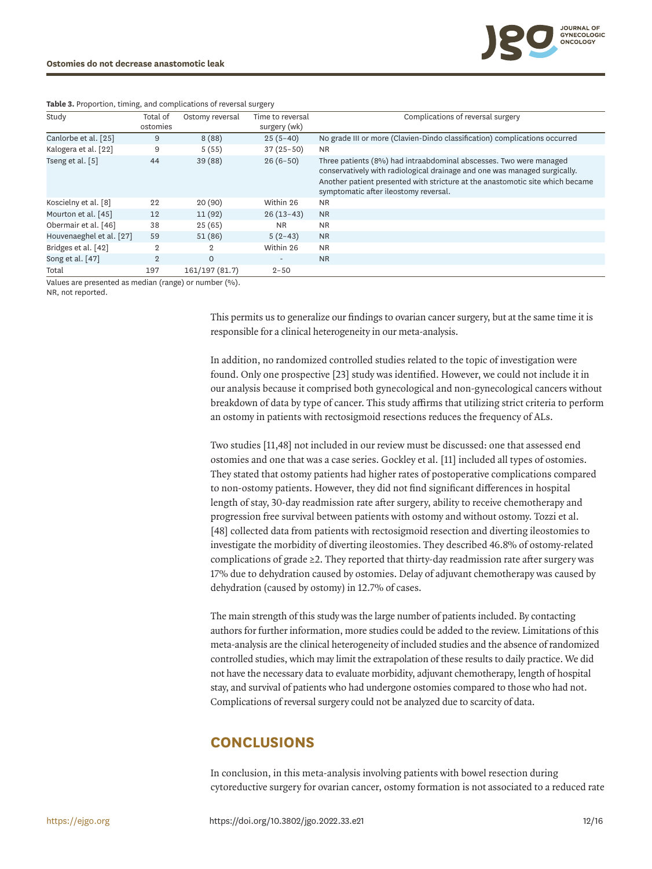| Study                    | Total of       | Ostomy reversal | Time to reversal         | Complications of reversal surgery                                                                                                               |
|--------------------------|----------------|-----------------|--------------------------|-------------------------------------------------------------------------------------------------------------------------------------------------|
|                          | ostomies       |                 | surgery (wk)             |                                                                                                                                                 |
| Canlorbe et al. [25]     | 9              | 8(88)           | $25(5-40)$               | No grade III or more (Clavien-Dindo classification) complications occurred                                                                      |
| Kalogera et al. [22]     | 9              | 5(55)           | $37(25-50)$              | <b>NR</b>                                                                                                                                       |
| Tseng et al. [5]         | 44             | 39(88)          | $26(6-50)$               | Three patients (8%) had intraabdominal abscesses. Two were managed<br>conservatively with radiological drainage and one was managed surgically. |
|                          |                |                 |                          | Another patient presented with stricture at the anastomotic site which became<br>symptomatic after ileostomy reversal.                          |
| Koscielny et al. [8]     | 22             | 20(90)          | Within 26                | <b>NR</b>                                                                                                                                       |
| Mourton et al. [45]      | 12             | 11(92)          | $26(13-43)$              | <b>NR</b>                                                                                                                                       |
| Obermair et al. [46]     | 38             | 25(65)          | <b>NR</b>                | <b>NR</b>                                                                                                                                       |
| Houvenaeghel et al. [27] | 59             | 51(86)          | $5(2-43)$                | <b>NR</b>                                                                                                                                       |
| Bridges et al. [42]      | $\overline{2}$ | $\overline{2}$  | Within 26                | <b>NR</b>                                                                                                                                       |
| Song et al. [47]         | $\overline{2}$ | $\Omega$        | $\overline{\phantom{a}}$ | <b>NR</b>                                                                                                                                       |
| Total                    | 197            | 161/197 (81.7)  | $2 - 50$                 |                                                                                                                                                 |

<span id="page-11-0"></span>**Table 3.** Proportion, timing, and complications of reversal surgery

Values are presented as median (range) or number (%).

NR, not reported.

This permits us to generalize our findings to ovarian cancer surgery, but at the same time it is responsible for a clinical heterogeneity in our meta-analysis.

<span id="page-11-2"></span>In addition, no randomized controlled studies related to the topic of investigation were found. Only one prospective [[23\]](#page-14-4) study was identified. However, we could not include it in our analysis because it comprised both gynecological and non-gynecological cancers without breakdown of data by type of cancer. This study affirms that utilizing strict criteria to perform an ostomy in patients with rectosigmoid resections reduces the frequency of ALs.

<span id="page-11-3"></span><span id="page-11-1"></span>Two studies [[11,](#page-13-11)[48](#page-15-13)] not included in our review must be discussed: one that assessed end ostomies and one that was a case series. Gockley et al. [[11\]](#page-13-11) included all types of ostomies. They stated that ostomy patients had higher rates of postoperative complications compared to non-ostomy patients. However, they did not find significant differences in hospital length of stay, 30-day readmission rate after surgery, ability to receive chemotherapy and progression free survival between patients with ostomy and without ostomy. Tozzi et al. [[48](#page-15-13)] collected data from patients with rectosigmoid resection and diverting ileostomies to investigate the morbidity of diverting ileostomies. They described 46.8% of ostomy-related complications of grade ≥2. They reported that thirty-day readmission rate after surgery was 17% due to dehydration caused by ostomies. Delay of adjuvant chemotherapy was caused by dehydration (caused by ostomy) in 12.7% of cases.

The main strength of this study was the large number of patients included. By contacting authors for further information, more studies could be added to the review. Limitations of this meta-analysis are the clinical heterogeneity of included studies and the absence of randomized controlled studies, which may limit the extrapolation of these results to daily practice. We did not have the necessary data to evaluate morbidity, adjuvant chemotherapy, length of hospital stay, and survival of patients who had undergone ostomies compared to those who had not. Complications of reversal surgery could not be analyzed due to scarcity of data.

# **CONCLUSIONS**

In conclusion, in this meta-analysis involving patients with bowel resection during cytoreductive surgery for ovarian cancer, ostomy formation is not associated to a reduced rate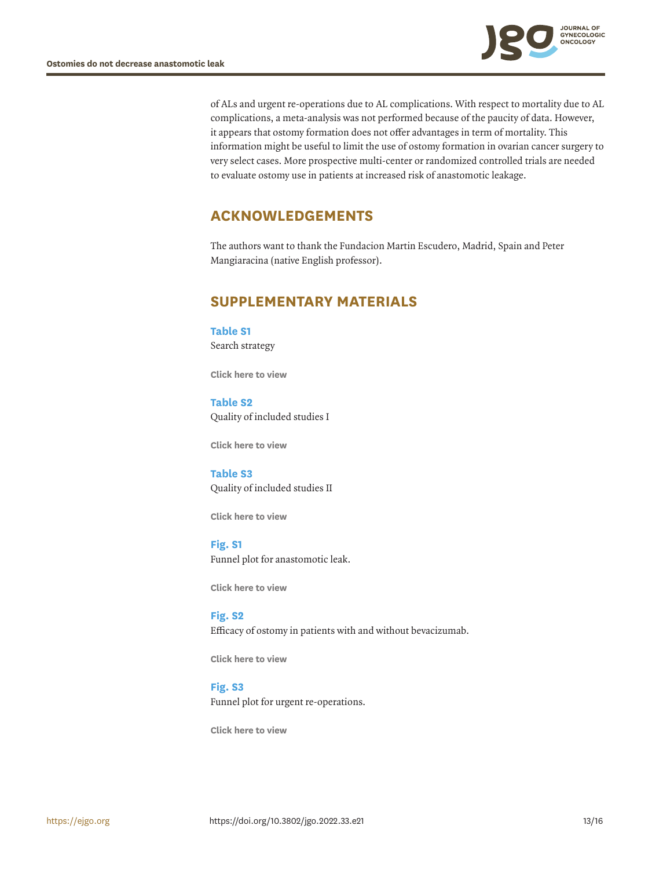

of ALs and urgent re-operations due to AL complications. With respect to mortality due to AL complications, a meta-analysis was not performed because of the paucity of data. However, it appears that ostomy formation does not offer advantages in term of mortality. This information might be useful to limit the use of ostomy formation in ovarian cancer surgery to very select cases. More prospective multi-center or randomized controlled trials are needed to evaluate ostomy use in patients at increased risk of anastomotic leakage.

# **ACKNOWLEDGEMENTS**

The authors want to thank the Fundacion Martin Escudero, Madrid, Spain and Peter Mangiaracina (native English professor).

# **SUPPLEMENTARY MATERIALS**

<span id="page-12-0"></span>**Table S1** Search strategy

**[Click here to view](http://ejgo.org/DownloadSupplMaterial.php?id=10.3802/jgo.2022.33.e21&fn=jgo-33-e21-s001.xls)**

<span id="page-12-1"></span>**Table S2** Quality of included studies I

**[Click here to view](http://ejgo.org/DownloadSupplMaterial.php?id=10.3802/jgo.2022.33.e21&fn=jgo-33-e21-s002.xls)**

<span id="page-12-2"></span>**Table S3** Quality of included studies II

**[Click here to view](http://ejgo.org/DownloadSupplMaterial.php?id=10.3802/jgo.2022.33.e21&fn=jgo-33-e21-s003.xls)**

<span id="page-12-3"></span>**Fig. S1** Funnel plot for anastomotic leak.

**[Click here to view](http://ejgo.org/DownloadSupplMaterial.php?id=10.3802/jgo.2022.33.e21&fn=jgo-33-e21-s004.ppt)**

<span id="page-12-4"></span>**Fig. S2** Efficacy of ostomy in patients with and without bevacizumab.

**[Click here to view](http://ejgo.org/DownloadSupplMaterial.php?id=10.3802/jgo.2022.33.e21&fn=jgo-33-e21-s005.ppt)**

<span id="page-12-5"></span>**Fig. S3** Funnel plot for urgent re-operations.

**[Click here to view](http://ejgo.org/DownloadSupplMaterial.php?id=10.3802/jgo.2022.33.e21&fn=jgo-33-e21-s006.ppt)**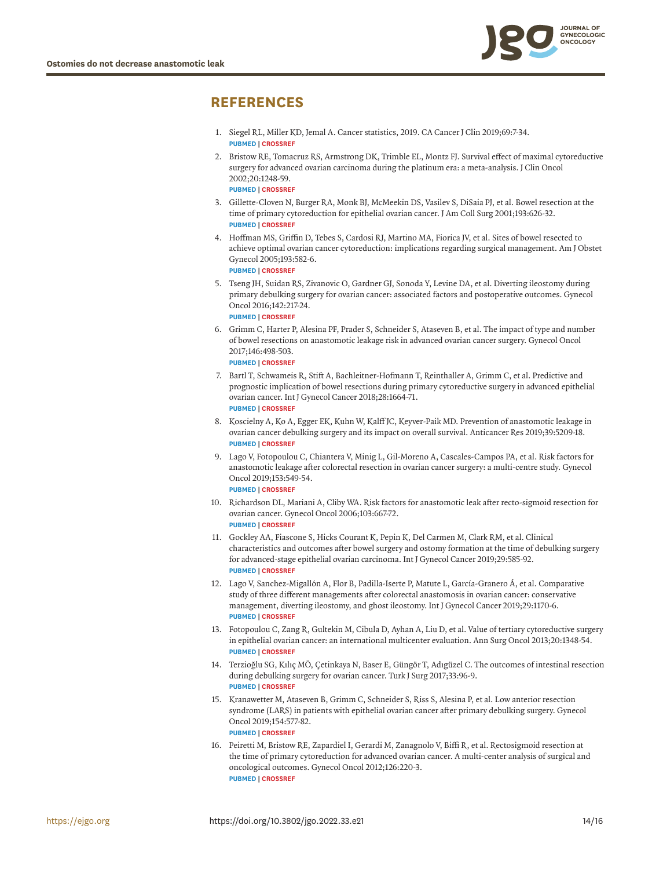

# **REFERENCES**

- <span id="page-13-0"></span>[1.](#page-0-0) Siegel RL, Miller KD, Jemal A. Cancer statistics, 2019. CA Cancer J Clin 2019;69:7-34. **[PUBMED](http://www.ncbi.nlm.nih.gov/pubmed/30620402) | [CROSSREF](https://doi.org/10.3322/caac.21551)**
- <span id="page-13-1"></span>[2.](#page-0-1) Bristow RE, Tomacruz RS, Armstrong DK, Trimble EL, Montz FJ. Survival effect of maximal cytoreductive surgery for advanced ovarian carcinoma during the platinum era: a meta-analysis. J Clin Oncol 2002;20:1248-59. **[PUBMED](http://www.ncbi.nlm.nih.gov/pubmed/11870167) | [CROSSREF](https://doi.org/10.1200/JCO.2002.20.5.1248)**
- <span id="page-13-2"></span>[3.](#page-0-2) Gillette-Cloven N, Burger RA, Monk BJ, McMeekin DS, Vasilev S, DiSaia PJ, et al. Bowel resection at the time of primary cytoreduction for epithelial ovarian cancer. J Am Coll Surg 2001;193:626-32. **[PUBMED](http://www.ncbi.nlm.nih.gov/pubmed/11768679) | [CROSSREF](https://doi.org/10.1016/S1072-7515(01)01090-0)**
- <span id="page-13-3"></span>[4.](#page-0-2) Hoffman MS, Griffin D, Tebes S, Cardosi RJ, Martino MA, Fiorica JV, et al. Sites of bowel resected to achieve optimal ovarian cancer cytoreduction: implications regarding surgical management. Am J Obstet Gynecol 2005;193:582-6. **[PUBMED](http://www.ncbi.nlm.nih.gov/pubmed/16098902) | [CROSSREF](https://doi.org/10.1016/j.ajog.2005.03.046)**
- <span id="page-13-4"></span>[5.](#page-9-0) Tseng JH, Suidan RS, Zivanovic O, Gardner GJ, Sonoda Y, Levine DA, et al. Diverting ileostomy during primary debulking surgery for ovarian cancer: associated factors and postoperative outcomes. Gynecol Oncol 2016;142:217-24. **[PUBMED](http://www.ncbi.nlm.nih.gov/pubmed/27261325) | [CROSSREF](https://doi.org/10.1016/j.ygyno.2016.05.035)**
- <span id="page-13-10"></span>[6.](#page-4-1) Grimm C, Harter P, Alesina PF, Prader S, Schneider S, Ataseven B, et al. The impact of type and number of bowel resections on anastomotic leakage risk in advanced ovarian cancer surgery. Gynecol Oncol 2017;146:498-503.

**[PUBMED](http://www.ncbi.nlm.nih.gov/pubmed/28610745) | [CROSSREF](https://doi.org/10.1016/j.ygyno.2017.06.007)**

- <span id="page-13-7"></span>[7.](#page-8-1) Bartl T, Schwameis R, Stift A, Bachleitner-Hofmann T, Reinthaller A, Grimm C, et al. Predictive and prognostic implication of bowel resections during primary cytoreductive surgery in advanced epithelial ovarian cancer. Int J Gynecol Cancer 2018;28:1664-71. **[PUBMED](http://www.ncbi.nlm.nih.gov/pubmed/30371563) | [CROSSREF](https://doi.org/10.1097/IGC.0000000000001369)**
- <span id="page-13-5"></span>[8.](#page-9-1) Koscielny A, Ko A, Egger EK, Kuhn W, Kalff JC, Keyver-Paik MD. Prevention of anastomotic leakage in ovarian cancer debulking surgery and its impact on overall survival. Anticancer Res 2019;39:5209-18. **[PUBMED](http://www.ncbi.nlm.nih.gov/pubmed/31519635) | [CROSSREF](https://doi.org/10.21873/anticanres.13718)**
- <span id="page-13-9"></span>[9.](#page-2-0) Lago V, Fotopoulou C, Chiantera V, Minig L, Gil-Moreno A, Cascales-Campos PA, et al. Risk factors for anastomotic leakage after colorectal resection in ovarian cancer surgery: a multi-centre study. Gynecol Oncol 2019;153:549-54. **[PUBMED](http://www.ncbi.nlm.nih.gov/pubmed/30952369) | [CROSSREF](https://doi.org/10.1016/j.ygyno.2019.03.241)**
- 10. Richardson DL, Mariani A, Cliby WA. Risk factors for anastomotic leak after recto-sigmoid resection for ovarian cancer. Gynecol Oncol 2006;103:667-72. **[PUBMED](http://www.ncbi.nlm.nih.gov/pubmed/16797684) | [CROSSREF](https://doi.org/10.1016/j.ygyno.2006.05.003)**
- <span id="page-13-11"></span>[11.](#page-11-1) Gockley AA, Fiascone S, Hicks Courant K, Pepin K, Del Carmen M, Clark RM, et al. Clinical characteristics and outcomes after bowel surgery and ostomy formation at the time of debulking surgery for advanced-stage epithelial ovarian carcinoma. Int J Gynecol Cancer 2019;29:585-92. **[PUBMED](http://www.ncbi.nlm.nih.gov/pubmed/30833444) | [CROSSREF](https://doi.org/10.1136/ijgc-2018-000154)**
- <span id="page-13-6"></span>[12.](#page-2-0) Lago V, Sanchez-Migallón A, Flor B, Padilla-Iserte P, Matute L, García-Granero Á, et al. Comparative study of three different managements after colorectal anastomosis in ovarian cancer: conservative management, diverting ileostomy, and ghost ileostomy. Int J Gynecol Cancer 2019;29:1170-6. **[PUBMED](http://www.ncbi.nlm.nih.gov/pubmed/31296558) | [CROSSREF](https://doi.org/10.1136/ijgc-2019-000538)**
- 13. Fotopoulou C, Zang R, Gultekin M, Cibula D, Ayhan A, Liu D, et al. Value of tertiary cytoreductive surgery in epithelial ovarian cancer: an international multicenter evaluation. Ann Surg Oncol 2013;20:1348-54. **[PUBMED](http://www.ncbi.nlm.nih.gov/pubmed/23054114) | [CROSSREF](https://doi.org/10.1245/s10434-012-2673-z)**
- 14. Terzioğlu SG, Kılıç MÖ, Çetinkaya N, Baser E, Güngör T, Adıgüzel C. The outcomes of intestinal resection during debulking surgery for ovarian cancer. Turk J Surg 2017;33:96-9. **[PUBMED](http://www.ncbi.nlm.nih.gov/pubmed/28740958) | [CROSSREF](https://doi.org/10.5152/UCD.2016.3515)**
- 15. Kranawetter M, Ataseven B, Grimm C, Schneider S, Riss S, Alesina P, et al. Low anterior resection syndrome (LARS) in patients with epithelial ovarian cancer after primary debulking surgery. Gynecol Oncol 2019;154:577-82. **[PUBMED](http://www.ncbi.nlm.nih.gov/pubmed/31235241) | [CROSSREF](https://doi.org/10.1016/j.ygyno.2019.06.015)**
- <span id="page-13-8"></span>[16.](#page-2-1) Peiretti M, Bristow RE, Zapardiel I, Gerardi M, Zanagnolo V, Biffi R, et al. Rectosigmoid resection at the time of primary cytoreduction for advanced ovarian cancer. A multi-center analysis of surgical and oncological outcomes. Gynecol Oncol 2012;126:220-3. **[PUBMED](http://www.ncbi.nlm.nih.gov/pubmed/22555105) | [CROSSREF](https://doi.org/10.1016/j.ygyno.2012.04.030)**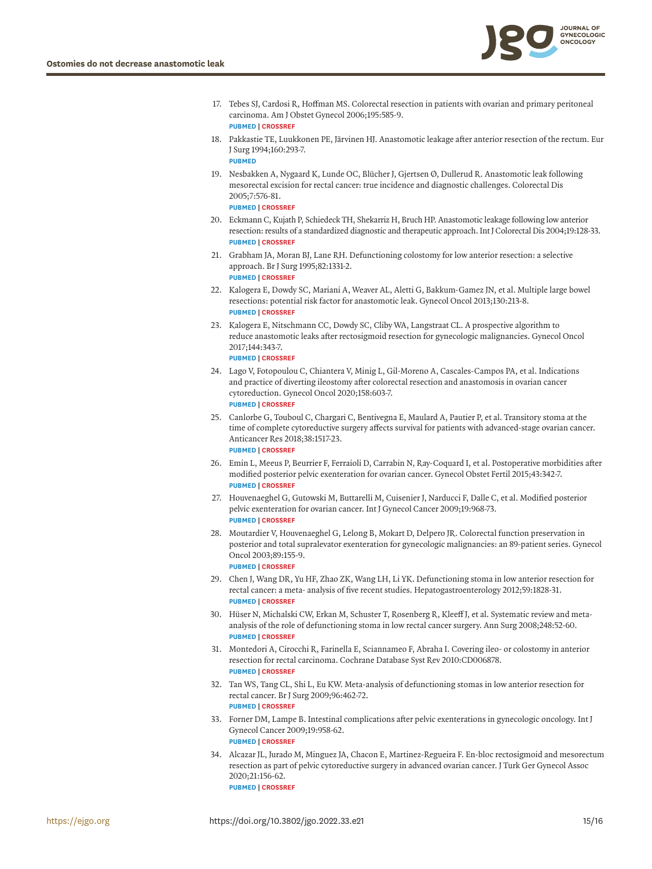

- <span id="page-14-0"></span>[17.](#page-1-0) Tebes SJ, Cardosi R, Hoffman MS. Colorectal resection in patients with ovarian and primary peritoneal carcinoma. Am J Obstet Gynecol 2006;195:585-9. **[PUBMED](http://www.ncbi.nlm.nih.gov/pubmed/16730631) | [CROSSREF](https://doi.org/10.1016/j.ajog.2006.03.079)**
- <span id="page-14-1"></span>[18.](#page-1-1) Pakkastie TE, Luukkonen PE, Järvinen HJ. Anastomotic leakage after anterior resection of the rectum. Eur J Surg 1994;160:293-7. **[PUBMED](http://www.ncbi.nlm.nih.gov/pubmed/8075199)**
- 19. Nesbakken A, Nygaard K, Lunde OC, Blücher J, Gjertsen Ø, Dullerud R. Anastomotic leak following mesorectal excision for rectal cancer: true incidence and diagnostic challenges. Colorectal Dis 2005;7:576-81.

**[PUBMED](http://www.ncbi.nlm.nih.gov/pubmed/16232238) | [CROSSREF](https://doi.org/10.1111/j.1463-1318.2005.00870.x)**

- 20. Eckmann C, Kujath P, Schiedeck TH, Shekarriz H, Bruch HP. Anastomotic leakage following low anterior resection: results of a standardized diagnostic and therapeutic approach. Int J Colorectal Dis 2004;19:128-33. **[PUBMED](http://www.ncbi.nlm.nih.gov/pubmed/14752675) | [CROSSREF](https://doi.org/10.1007/s00384-003-0498-8)**
- <span id="page-14-2"></span>[21.](#page-1-1) Grabham JA, Moran BJ, Lane RH. Defunctioning colostomy for low anterior resection: a selective approach. Br J Surg 1995;82:1331-2. **[PUBMED](http://www.ncbi.nlm.nih.gov/pubmed/7489155) | [CROSSREF](https://doi.org/10.1002/bjs.1800821011)**
- <span id="page-14-3"></span>[22.](#page-9-1) Kalogera E, Dowdy SC, Mariani A, Weaver AL, Aletti G, Bakkum-Gamez JN, et al. Multiple large bowel resections: potential risk factor for anastomotic leak. Gynecol Oncol 2013;130:213-8. **[PUBMED](http://www.ncbi.nlm.nih.gov/pubmed/23578541) | [CROSSREF](https://doi.org/10.1016/j.ygyno.2013.04.002)**
- <span id="page-14-4"></span>[23.](#page-11-2) Kalogera E, Nitschmann CC, Dowdy SC, Cliby WA, Langstraat CL. A prospective algorithm to reduce anastomotic leaks after rectosigmoid resection for gynecologic malignancies. Gynecol Oncol 2017;144:343-7. **[PUBMED](http://www.ncbi.nlm.nih.gov/pubmed/27919575) | [CROSSREF](https://doi.org/10.1016/j.ygyno.2016.11.032)**
- <span id="page-14-5"></span>[24.](#page-7-1) Lago V, Fotopoulou C, Chiantera V, Minig L, Gil-Moreno A, Cascales-Campos PA, et al. Indications and practice of diverting ileostomy after colorectal resection and anastomosis in ovarian cancer cytoreduction. Gynecol Oncol 2020;158:603-7. **[PUBMED](http://www.ncbi.nlm.nih.gov/pubmed/32571682) | [CROSSREF](https://doi.org/10.1016/j.ygyno.2020.05.047)**
- <span id="page-14-11"></span>[25.](#page-9-1) Canlorbe G, Touboul C, Chargari C, Bentivegna E, Maulard A, Pautier P, et al. Transitory stoma at the time of complete cytoreductive surgery affects survival for patients with advanced-stage ovarian cancer. Anticancer Res 2018;38:1517-23. **[PUBMED](http://www.ncbi.nlm.nih.gov/pubmed/29491080) | [CROSSREF](https://doi.org/10.21873/anticanres.12379)**
- <span id="page-14-12"></span>[26.](#page-8-2) Emin L, Meeus P, Beurrier F, Ferraioli D, Carrabin N, Ray-Coquard I, et al. Postoperative morbidities after modified posterior pelvic exenteration for ovarian cancer. Gynecol Obstet Fertil 2015;43:342-7. **[PUBMED](http://www.ncbi.nlm.nih.gov/pubmed/25899113) | [CROSSREF](https://doi.org/10.1016/j.gyobfe.2015.03.006)**
- <span id="page-14-6"></span>[27.](#page-9-1) Houvenaeghel G, Gutowski M, Buttarelli M, Cuisenier J, Narducci F, Dalle C, et al. Modified posterior pelvic exenteration for ovarian cancer. Int J Gynecol Cancer 2009;19:968-73. **[PUBMED](http://www.ncbi.nlm.nih.gov/pubmed/19574794) | [CROSSREF](https://doi.org/10.1111/IGC.0b013e3181a7f38b)**
- <span id="page-14-7"></span>[28.](#page-8-2) Moutardier V, Houvenaeghel G, Lelong B, Mokart D, Delpero JR. Colorectal function preservation in posterior and total supralevator exenteration for gynecologic malignancies: an 89-patient series. Gynecol Oncol 2003;89:155-9. **[PUBMED](http://www.ncbi.nlm.nih.gov/pubmed/12694670) | [CROSSREF](https://doi.org/10.1016/S0090-8258(03)00069-6)**
- <span id="page-14-8"></span>[29.](#page-1-2) Chen J, Wang DR, Yu HF, Zhao ZK, Wang LH, Li YK. Defunctioning stoma in low anterior resection for rectal cancer: a meta- analysis of five recent studies. Hepatogastroenterology 2012;59:1828-31. **[PUBMED](http://www.ncbi.nlm.nih.gov/pubmed/22193436) | [CROSSREF](https://doi.org/10.5754/hge11786)**
- 30. Hüser N, Michalski CW, Erkan M, Schuster T, Rosenberg R, Kleeff J, et al. Systematic review and metaanalysis of the role of defunctioning stoma in low rectal cancer surgery. Ann Surg 2008;248:52-60. **[PUBMED](http://www.ncbi.nlm.nih.gov/pubmed/18580207) | [CROSSREF](https://doi.org/10.1097/SLA.0b013e318176bf65)**
- 31. Montedori A, Cirocchi R, Farinella E, Sciannameo F, Abraha I. Covering ileo- or colostomy in anterior resection for rectal carcinoma. Cochrane Database Syst Rev 2010:CD006878. **[PUBMED](http://www.ncbi.nlm.nih.gov/pubmed/20464746) | [CROSSREF](https://doi.org/10.1002/14651858.CD006878.pub2)**
- <span id="page-14-9"></span>[32.](#page-1-3) Tan WS, Tang CL, Shi L, Eu KW. Meta-analysis of defunctioning stomas in low anterior resection for rectal cancer. Br J Surg 2009;96:462-72. **[PUBMED](http://www.ncbi.nlm.nih.gov/pubmed/19358171) | [CROSSREF](https://doi.org/10.1002/bjs.6594)**
- <span id="page-14-10"></span>[33.](#page-1-4) Forner DM, Lampe B. Intestinal complications after pelvic exenterations in gynecologic oncology. Int J Gynecol Cancer 2009;19:958-62. **[PUBMED](http://www.ncbi.nlm.nih.gov/pubmed/19574792) | [CROSSREF](https://doi.org/10.1111/IGC.0b013e3181a3f77c)**
- 34. Alcazar JL, Jurado M, Minguez JA, Chacon E, Martinez-Regueira F. En-bloc rectosigmoid and mesorectum resection as part of pelvic cytoreductive surgery in advanced ovarian cancer. J Turk Ger Gynecol Assoc 2020;21:156-62. **[PUBMED](http://www.ncbi.nlm.nih.gov/pubmed/31927810) | [CROSSREF](https://doi.org/10.4274/jtgga.galenos.2019.2019.0128)**